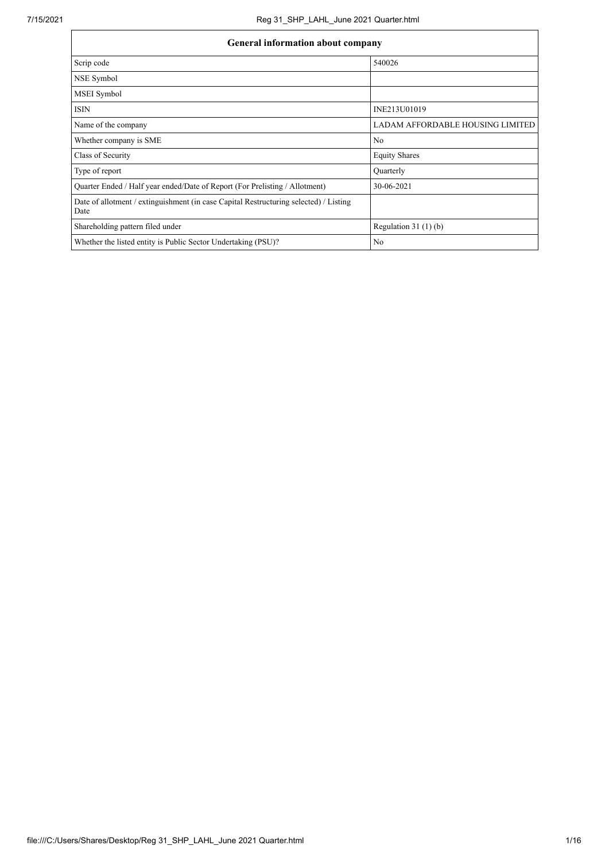| General information about company                                                             |                                  |
|-----------------------------------------------------------------------------------------------|----------------------------------|
| Scrip code                                                                                    | 540026                           |
| NSE Symbol                                                                                    |                                  |
| MSEI Symbol                                                                                   |                                  |
| <b>ISIN</b>                                                                                   | INE213U01019                     |
| Name of the company                                                                           | LADAM AFFORDABLE HOUSING LIMITED |
| Whether company is SME                                                                        | N <sub>0</sub>                   |
| Class of Security                                                                             | <b>Equity Shares</b>             |
| Type of report                                                                                | Quarterly                        |
| Quarter Ended / Half year ended/Date of Report (For Prelisting / Allotment)                   | 30-06-2021                       |
| Date of allotment / extinguishment (in case Capital Restructuring selected) / Listing<br>Date |                                  |
| Shareholding pattern filed under                                                              | Regulation $31(1)(b)$            |
| Whether the listed entity is Public Sector Undertaking (PSU)?                                 | N <sub>0</sub>                   |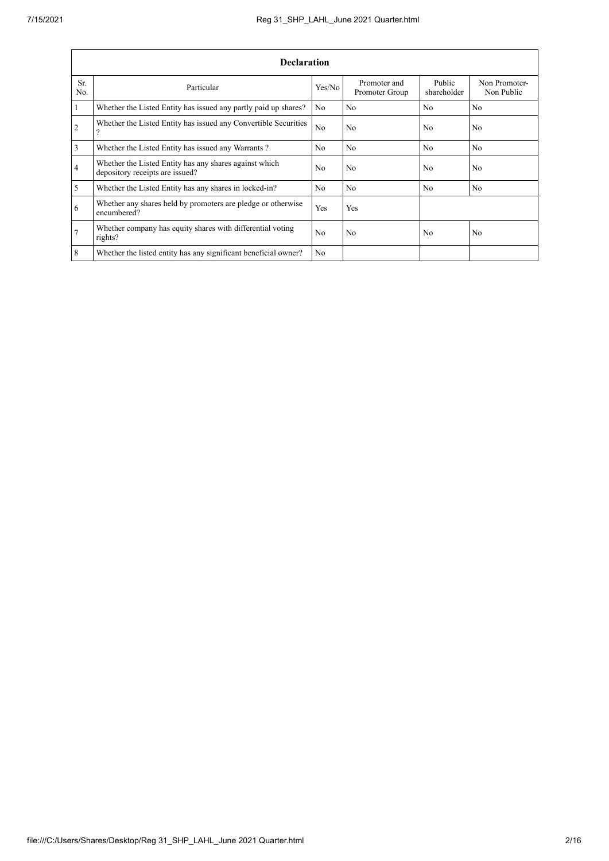|                 | <b>Declaration</b>                                                                        |                |                                |                       |                             |  |  |  |  |  |  |  |  |
|-----------------|-------------------------------------------------------------------------------------------|----------------|--------------------------------|-----------------------|-----------------------------|--|--|--|--|--|--|--|--|
| Sr.<br>No.      | Particular                                                                                | Yes/No         | Promoter and<br>Promoter Group | Public<br>shareholder | Non Promoter-<br>Non Public |  |  |  |  |  |  |  |  |
| $\overline{1}$  | Whether the Listed Entity has issued any partly paid up shares?                           | N <sub>0</sub> | N <sub>0</sub>                 | N <sub>0</sub>        | N <sub>0</sub>              |  |  |  |  |  |  |  |  |
| $\overline{2}$  | Whether the Listed Entity has issued any Convertible Securities<br>$\gamma$               | No             | N <sub>0</sub>                 | N <sub>0</sub>        | N <sub>0</sub>              |  |  |  |  |  |  |  |  |
| $\overline{3}$  | Whether the Listed Entity has issued any Warrants?                                        | N <sub>0</sub> | N <sub>o</sub>                 | N <sub>o</sub>        | N <sub>0</sub>              |  |  |  |  |  |  |  |  |
| $\overline{4}$  | Whether the Listed Entity has any shares against which<br>depository receipts are issued? | No             | N <sub>0</sub>                 | N <sub>0</sub>        | N <sub>0</sub>              |  |  |  |  |  |  |  |  |
| $\overline{5}$  | Whether the Listed Entity has any shares in locked-in?                                    | N <sub>0</sub> | No                             | N <sub>0</sub>        | No                          |  |  |  |  |  |  |  |  |
| 6               | Whether any shares held by promoters are pledge or otherwise<br>encumbered?               | <b>Yes</b>     | Yes                            |                       |                             |  |  |  |  |  |  |  |  |
| $\overline{7}$  | Whether company has equity shares with differential voting<br>rights?                     | No             | N <sub>0</sub>                 | N <sub>0</sub>        | N <sub>0</sub>              |  |  |  |  |  |  |  |  |
| $8\phantom{.}8$ | Whether the listed entity has any significant beneficial owner?                           | N <sub>0</sub> |                                |                       |                             |  |  |  |  |  |  |  |  |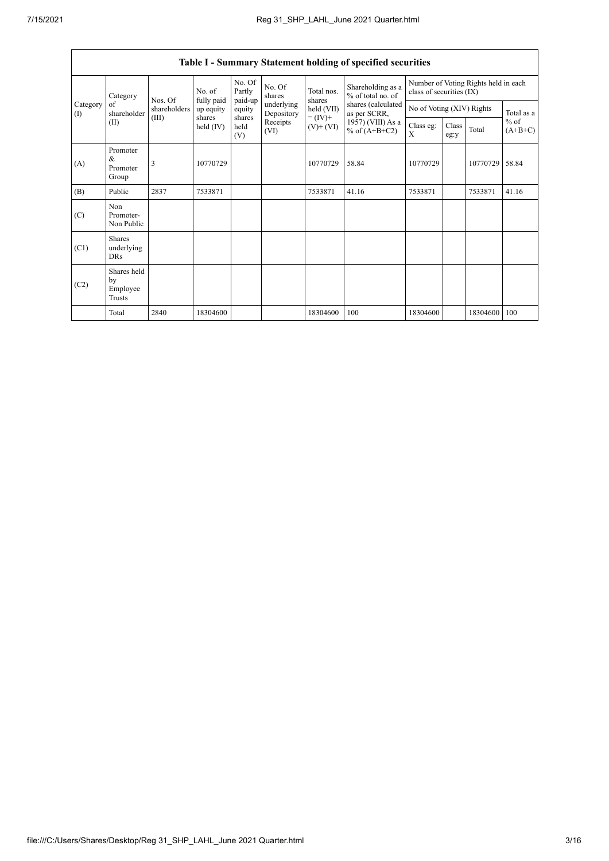$\Gamma$ 

|                               | Table I - Summary Statement holding of specified securities |                         |                         |                       |                          |                              |                                        |                                                                  |               |          |                                   |  |
|-------------------------------|-------------------------------------------------------------|-------------------------|-------------------------|-----------------------|--------------------------|------------------------------|----------------------------------------|------------------------------------------------------------------|---------------|----------|-----------------------------------|--|
|                               | Category                                                    | Nos. Of<br>shareholders | No. of                  | No. Of<br>Partly      | No. Of<br>shares         | Total nos.                   | Shareholding as a<br>% of total no. of | Number of Voting Rights held in each<br>class of securities (IX) |               |          |                                   |  |
| Category<br>$\textcircled{1}$ | of<br>shareholder                                           |                         | fully paid<br>up equity | paid-up<br>equity     | underlying<br>Depository | shares<br>held (VII)         | shares (calculated<br>as per SCRR,     | No of Voting (XIV) Rights                                        |               |          | Total as a<br>$%$ of<br>$(A+B+C)$ |  |
|                               | (II)                                                        | (III)                   | shares<br>held $(IV)$   | shares<br>held<br>(V) | Receipts<br>(VI)         | $= (IV) +$<br>$(V)$ + $(VI)$ | 1957) (VIII) As a<br>% of $(A+B+C2)$   | Class eg:<br>X                                                   | Class<br>eg:y | Total    |                                   |  |
| (A)                           | Promoter<br>&<br>Promoter<br>Group                          | 3                       | 10770729                |                       |                          | 10770729                     | 58.84                                  | 10770729                                                         |               | 10770729 | 58.84                             |  |
| (B)                           | Public                                                      | 2837                    | 7533871                 |                       |                          | 7533871                      | 41.16                                  | 7533871                                                          |               | 7533871  | 41.16                             |  |
| (C)                           | Non<br>Promoter-<br>Non Public                              |                         |                         |                       |                          |                              |                                        |                                                                  |               |          |                                   |  |
| (C1)                          | <b>Shares</b><br>underlying<br><b>DRs</b>                   |                         |                         |                       |                          |                              |                                        |                                                                  |               |          |                                   |  |
| (C2)                          | Shares held<br>by<br>Employee<br>Trusts                     |                         |                         |                       |                          |                              |                                        |                                                                  |               |          |                                   |  |
|                               | Total                                                       | 2840                    | 18304600                |                       |                          | 18304600                     | 100                                    | 18304600                                                         |               | 18304600 | 100                               |  |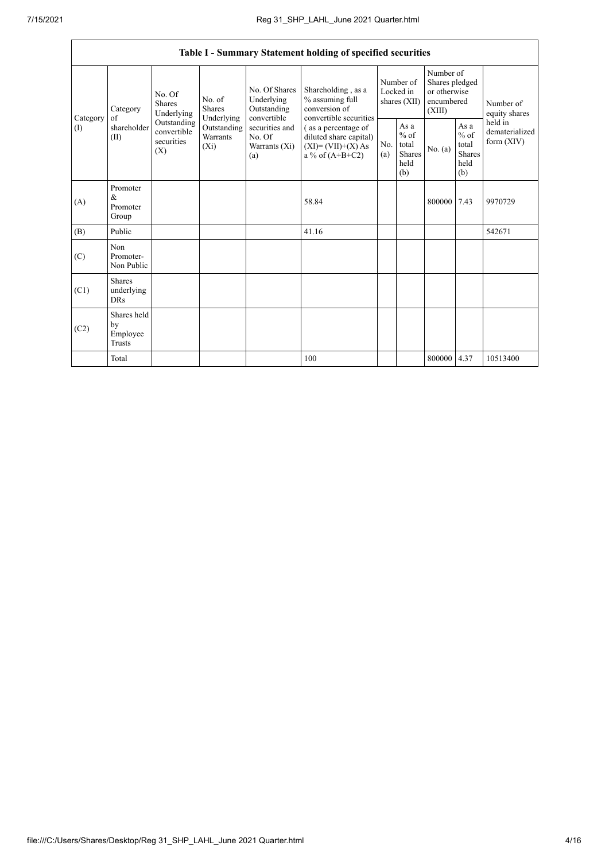|                               | Table I - Summary Statement holding of specified securities |                                                 |                                                  |                                                           |                                                                                           |                                        |                                                  |                                                                     |                                                         |                                           |  |  |
|-------------------------------|-------------------------------------------------------------|-------------------------------------------------|--------------------------------------------------|-----------------------------------------------------------|-------------------------------------------------------------------------------------------|----------------------------------------|--------------------------------------------------|---------------------------------------------------------------------|---------------------------------------------------------|-------------------------------------------|--|--|
| of<br>Category<br>(I)<br>(II) | Category                                                    | No. Of<br>Shares<br>Underlying                  | No. of<br><b>Shares</b>                          | No. Of Shares<br>Underlying<br>Outstanding<br>convertible | Shareholding, as a<br>% assuming full<br>conversion of<br>convertible securities          | Number of<br>Locked in<br>shares (XII) |                                                  | Number of<br>Shares pledged<br>or otherwise<br>encumbered<br>(XIII) |                                                         | Number of<br>equity shares                |  |  |
|                               | shareholder                                                 | Outstanding<br>convertible<br>securities<br>(X) | Underlying<br>Outstanding<br>Warrants<br>$(X_i)$ | securities and<br>No. Of<br>Warrants (Xi)<br>(a)          | (as a percentage of<br>diluted share capital)<br>$(XI)=(VII)+(X) As$<br>a % of $(A+B+C2)$ | No.<br>(a)                             | As a<br>$%$ of<br>total<br>Shares<br>held<br>(b) | No. (a)                                                             | As a<br>$%$ of<br>total<br><b>Shares</b><br>held<br>(b) | held in<br>dematerialized<br>form $(XIV)$ |  |  |
| (A)                           | Promoter<br>&<br>Promoter<br>Group                          |                                                 |                                                  |                                                           | 58.84                                                                                     |                                        |                                                  | 800000 7.43                                                         |                                                         | 9970729                                   |  |  |
| (B)                           | Public                                                      |                                                 |                                                  |                                                           | 41.16                                                                                     |                                        |                                                  |                                                                     |                                                         | 542671                                    |  |  |
| (C)                           | Non<br>Promoter-<br>Non Public                              |                                                 |                                                  |                                                           |                                                                                           |                                        |                                                  |                                                                     |                                                         |                                           |  |  |
| (C1)                          | <b>Shares</b><br>underlying<br><b>DRs</b>                   |                                                 |                                                  |                                                           |                                                                                           |                                        |                                                  |                                                                     |                                                         |                                           |  |  |
| (C2)                          | Shares held<br>by<br>Employee<br><b>Trusts</b>              |                                                 |                                                  |                                                           |                                                                                           |                                        |                                                  |                                                                     |                                                         |                                           |  |  |
|                               | Total                                                       |                                                 |                                                  |                                                           | 100                                                                                       |                                        |                                                  | 800000 4.37                                                         |                                                         | 10513400                                  |  |  |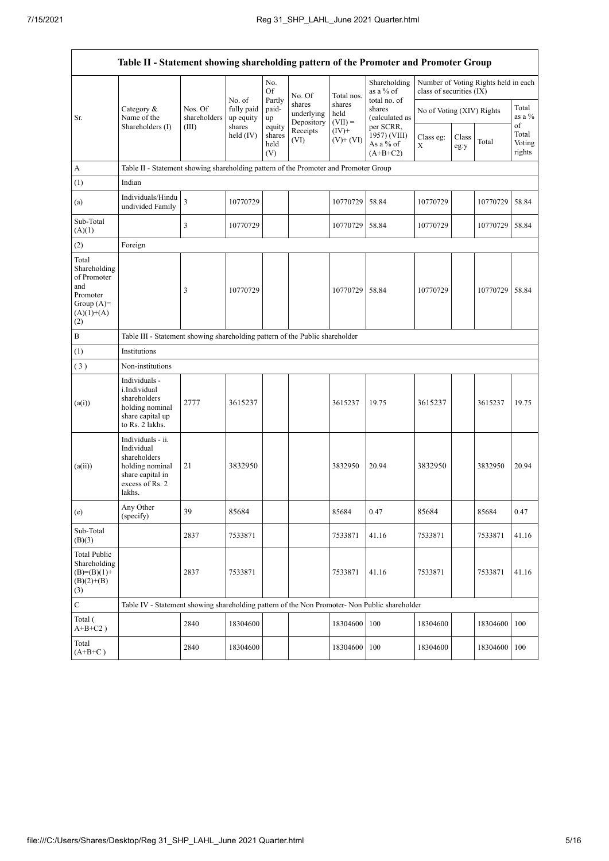$\mathsf{r}$ 

| Table II - Statement showing shareholding pattern of the Promoter and Promoter Group           |                                                                                                                     |                                                                              |                                   |                                 |                                    |                             |                                                                                  |                           |               |                                      |                                 |  |  |
|------------------------------------------------------------------------------------------------|---------------------------------------------------------------------------------------------------------------------|------------------------------------------------------------------------------|-----------------------------------|---------------------------------|------------------------------------|-----------------------------|----------------------------------------------------------------------------------|---------------------------|---------------|--------------------------------------|---------------------------------|--|--|
|                                                                                                |                                                                                                                     |                                                                              |                                   | No.<br>Of                       | No. Of                             | Total nos.                  | Shareholding<br>as a % of<br>total no. of                                        | class of securities (IX)  |               | Number of Voting Rights held in each |                                 |  |  |
| Sr.                                                                                            | Category &<br>Name of the                                                                                           | Nos. Of<br>shareholders                                                      | No. of<br>fully paid<br>up equity | Partly<br>paid-<br>up           | shares<br>underlying<br>Depository | shares<br>held<br>$(VII) =$ | shares<br>(calculated as<br>per SCRR,<br>1957) (VIII)<br>As a % of<br>$(A+B+C2)$ | No of Voting (XIV) Rights |               |                                      | Total<br>as a %                 |  |  |
|                                                                                                | Shareholders (I)                                                                                                    | (III)                                                                        | shares<br>held $(IV)$             | equity<br>shares<br>held<br>(V) | Receipts<br>(VI)                   | $(IV)$ +<br>$(V)+(VI)$      |                                                                                  | Class eg:<br>X            | Class<br>eg:y | Total                                | of<br>Total<br>Voting<br>rights |  |  |
| A                                                                                              | Table II - Statement showing shareholding pattern of the Promoter and Promoter Group                                |                                                                              |                                   |                                 |                                    |                             |                                                                                  |                           |               |                                      |                                 |  |  |
| (1)                                                                                            | Indian                                                                                                              |                                                                              |                                   |                                 |                                    |                             |                                                                                  |                           |               |                                      |                                 |  |  |
| (a)                                                                                            | Individuals/Hindu<br>undivided Family                                                                               | $\overline{\mathbf{3}}$                                                      | 10770729                          |                                 |                                    | 10770729                    | 58.84                                                                            | 10770729                  |               | 10770729                             | 58.84                           |  |  |
| Sub-Total<br>(A)(1)                                                                            |                                                                                                                     | 3                                                                            | 10770729                          |                                 |                                    | 10770729                    | 58.84                                                                            | 10770729                  |               | 10770729 58.84                       |                                 |  |  |
| (2)                                                                                            | Foreign                                                                                                             |                                                                              |                                   |                                 |                                    |                             |                                                                                  |                           |               |                                      |                                 |  |  |
| Total<br>Shareholding<br>of Promoter<br>and<br>Promoter<br>Group $(A)=$<br>$(A)(1)+(A)$<br>(2) |                                                                                                                     | 3                                                                            | 10770729                          |                                 |                                    | 10770729                    | 58.84                                                                            | 10770729                  |               | 10770729                             | 58.84                           |  |  |
| $\, {\bf B}$                                                                                   |                                                                                                                     | Table III - Statement showing shareholding pattern of the Public shareholder |                                   |                                 |                                    |                             |                                                                                  |                           |               |                                      |                                 |  |  |
| (1)                                                                                            | Institutions                                                                                                        |                                                                              |                                   |                                 |                                    |                             |                                                                                  |                           |               |                                      |                                 |  |  |
| (3)                                                                                            | Non-institutions                                                                                                    |                                                                              |                                   |                                 |                                    |                             |                                                                                  |                           |               |                                      |                                 |  |  |
| (a(i))                                                                                         | Individuals -<br>i.Individual<br>shareholders<br>holding nominal<br>share capital up<br>to Rs. 2 lakhs.             | 2777                                                                         | 3615237                           |                                 |                                    | 3615237                     | 19.75                                                                            | 3615237                   |               | 3615237                              | 19.75                           |  |  |
| (a(ii))                                                                                        | Individuals - ii.<br>Individual<br>shareholders<br>holding nominal<br>share capital in<br>excess of Rs. 2<br>lakhs. | 21                                                                           | 3832950                           |                                 |                                    | 3832950                     | 20.94                                                                            | 3832950                   |               | 3832950                              | 20.94                           |  |  |
| (e)                                                                                            | Any Other<br>(specify)                                                                                              | 39                                                                           | 85684                             |                                 |                                    | 85684                       | 0.47                                                                             | 85684                     |               | 85684                                | 0.47                            |  |  |
| Sub-Total<br>(B)(3)                                                                            |                                                                                                                     | 2837                                                                         | 7533871                           |                                 |                                    | 7533871                     | 41.16                                                                            | 7533871                   |               | 7533871                              | 41.16                           |  |  |
| <b>Total Public</b><br>Shareholding<br>$(B)=(B)(1)+$<br>$(B)(2)+(B)$<br>(3)                    |                                                                                                                     | 2837                                                                         | 7533871                           |                                 |                                    | 7533871                     | 41.16                                                                            | 7533871                   |               | 7533871                              | 41.16                           |  |  |
| $\mathbf C$                                                                                    | Table IV - Statement showing shareholding pattern of the Non Promoter- Non Public shareholder                       |                                                                              |                                   |                                 |                                    |                             |                                                                                  |                           |               |                                      |                                 |  |  |
| Total (<br>$A+B+C2$ )                                                                          |                                                                                                                     | 2840                                                                         | 18304600                          |                                 |                                    | 18304600                    | 100                                                                              | 18304600                  |               | 18304600                             | 100                             |  |  |
| Total<br>$(A+B+C)$                                                                             |                                                                                                                     | 2840                                                                         | 18304600                          |                                 |                                    | 18304600                    | 100                                                                              | 18304600                  |               | 18304600                             | 100                             |  |  |

 $\overline{\phantom{a}}$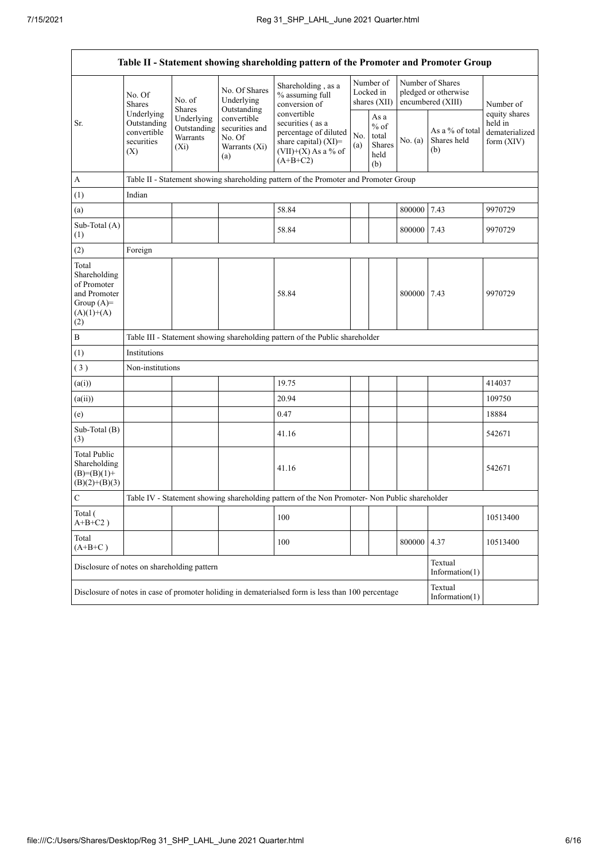$\mathbf{r}$ 

| Table II - Statement showing shareholding pattern of the Promoter and Promoter Group        |                                                               |                                               |                                                                 |                                                                                                                         |            |                                                  |         |                                                               |                                                          |  |  |  |
|---------------------------------------------------------------------------------------------|---------------------------------------------------------------|-----------------------------------------------|-----------------------------------------------------------------|-------------------------------------------------------------------------------------------------------------------------|------------|--------------------------------------------------|---------|---------------------------------------------------------------|----------------------------------------------------------|--|--|--|
|                                                                                             | No. Of<br>Shares                                              | No. of<br><b>Shares</b>                       | No. Of Shares<br>Underlying<br>Outstanding                      | Shareholding, as a<br>% assuming full<br>conversion of                                                                  |            | Number of<br>Locked in<br>shares (XII)           |         | Number of Shares<br>pledged or otherwise<br>encumbered (XIII) | Number of                                                |  |  |  |
| Sr.                                                                                         | Underlying<br>Outstanding<br>convertible<br>securities<br>(X) | Underlying<br>Outstanding<br>Warrants<br>(Xi) | convertible<br>securities and<br>No. Of<br>Warrants (Xi)<br>(a) | convertible<br>securities (as a<br>percentage of diluted<br>share capital) (XI)=<br>$(VII)+(X)$ As a % of<br>$(A+B+C2)$ | No.<br>(a) | As a<br>$%$ of<br>total<br>Shares<br>held<br>(b) | No. (a) | As a % of total<br>Shares held<br>(b)                         | equity shares<br>held in<br>dematerialized<br>form (XIV) |  |  |  |
| A                                                                                           |                                                               |                                               |                                                                 | Table II - Statement showing shareholding pattern of the Promoter and Promoter Group                                    |            |                                                  |         |                                                               |                                                          |  |  |  |
| (1)                                                                                         | Indian                                                        |                                               |                                                                 |                                                                                                                         |            |                                                  |         |                                                               |                                                          |  |  |  |
| (a)                                                                                         |                                                               |                                               |                                                                 | 58.84                                                                                                                   |            |                                                  | 800000  | 7.43                                                          | 9970729                                                  |  |  |  |
| Sub-Total (A)<br>(1)                                                                        |                                                               |                                               |                                                                 | 58.84                                                                                                                   |            |                                                  | 800000  | 7.43                                                          | 9970729                                                  |  |  |  |
| (2)                                                                                         | Foreign                                                       |                                               |                                                                 |                                                                                                                         |            |                                                  |         |                                                               |                                                          |  |  |  |
| Total<br>Shareholding<br>of Promoter<br>and Promoter<br>Group $(A)=$<br>$(A)(1)+(A)$<br>(2) |                                                               |                                               |                                                                 | 58.84                                                                                                                   |            |                                                  | 800000  | 7.43                                                          | 9970729                                                  |  |  |  |
| $\, {\bf B}$                                                                                |                                                               |                                               |                                                                 | Table III - Statement showing shareholding pattern of the Public shareholder                                            |            |                                                  |         |                                                               |                                                          |  |  |  |
| (1)                                                                                         | Institutions                                                  |                                               |                                                                 |                                                                                                                         |            |                                                  |         |                                                               |                                                          |  |  |  |
| (3)                                                                                         | Non-institutions                                              |                                               |                                                                 |                                                                                                                         |            |                                                  |         |                                                               |                                                          |  |  |  |
| (a(i))                                                                                      |                                                               |                                               |                                                                 | 19.75                                                                                                                   |            |                                                  |         |                                                               | 414037                                                   |  |  |  |
| (a(ii))                                                                                     |                                                               |                                               |                                                                 | 20.94                                                                                                                   |            |                                                  |         |                                                               | 109750                                                   |  |  |  |
| (e)                                                                                         |                                                               |                                               |                                                                 | 0.47                                                                                                                    |            |                                                  |         |                                                               | 18884                                                    |  |  |  |
| Sub-Total (B)<br>(3)                                                                        |                                                               |                                               |                                                                 | 41.16                                                                                                                   |            |                                                  |         |                                                               | 542671                                                   |  |  |  |
| <b>Total Public</b><br>Shareholding<br>$(B)= (B)(1) +$<br>$(B)(2)+(B)(3)$                   |                                                               |                                               |                                                                 | 41.16                                                                                                                   |            |                                                  |         |                                                               | 542671                                                   |  |  |  |
| $\mathbf C$                                                                                 |                                                               |                                               |                                                                 | Table IV - Statement showing shareholding pattern of the Non Promoter- Non Public shareholder                           |            |                                                  |         |                                                               |                                                          |  |  |  |
| Total (<br>$A+B+C2$ )                                                                       |                                                               |                                               |                                                                 | 100                                                                                                                     |            |                                                  |         |                                                               | 10513400                                                 |  |  |  |
| Total<br>$(A+B+C)$                                                                          |                                                               |                                               |                                                                 | 100                                                                                                                     |            |                                                  | 800000  | 4.37                                                          | 10513400                                                 |  |  |  |
| Disclosure of notes on shareholding pattern                                                 |                                                               |                                               |                                                                 |                                                                                                                         |            |                                                  |         | Textual<br>Information $(1)$                                  |                                                          |  |  |  |
|                                                                                             |                                                               |                                               |                                                                 | Disclosure of notes in case of promoter holiding in dematerialsed form is less than 100 percentage                      |            |                                                  |         | Textual<br>Information $(1)$                                  |                                                          |  |  |  |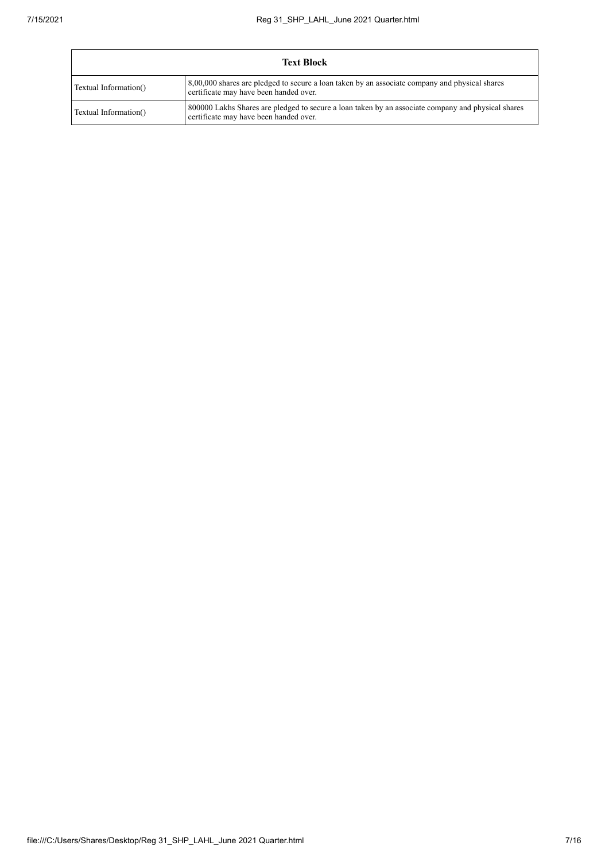| <b>Text Block</b>     |                                                                                                                                              |  |  |  |  |  |  |
|-----------------------|----------------------------------------------------------------------------------------------------------------------------------------------|--|--|--|--|--|--|
| Textual Information() | 8,00,000 shares are pledged to secure a loan taken by an associate company and physical shares<br>certificate may have been handed over.     |  |  |  |  |  |  |
| Textual Information() | 800000 Lakhs Shares are pledged to secure a loan taken by an associate company and physical shares<br>certificate may have been handed over. |  |  |  |  |  |  |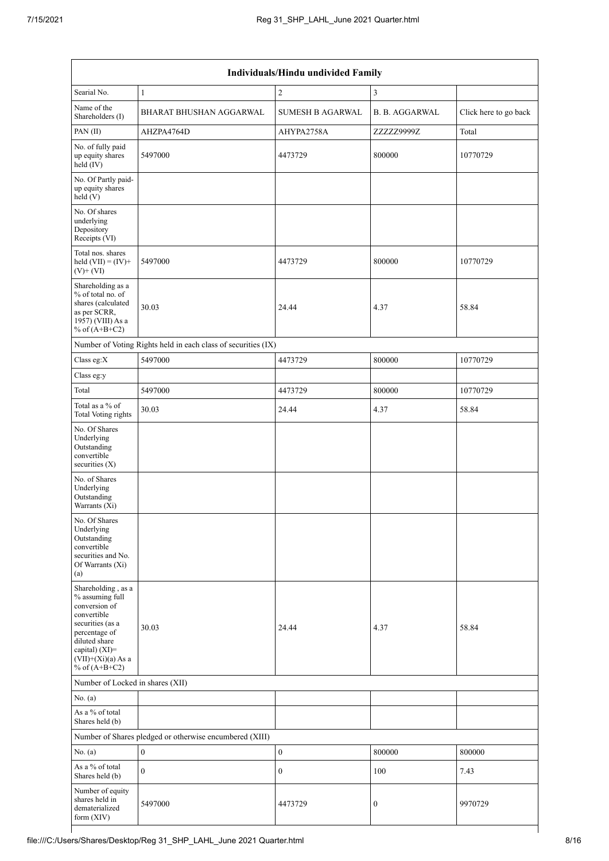| Individuals/Hindu undivided Family                                                                                                                                                       |                                                               |                         |                       |                       |  |  |  |  |  |  |
|------------------------------------------------------------------------------------------------------------------------------------------------------------------------------------------|---------------------------------------------------------------|-------------------------|-----------------------|-----------------------|--|--|--|--|--|--|
| Searial No.                                                                                                                                                                              | $\mathbf{1}$                                                  | $\overline{2}$          | 3                     |                       |  |  |  |  |  |  |
| Name of the<br>Shareholders (I)                                                                                                                                                          | <b>BHARAT BHUSHAN AGGARWAL</b>                                | <b>SUMESH B AGARWAL</b> | <b>B. B. AGGARWAL</b> | Click here to go back |  |  |  |  |  |  |
| PAN(II)                                                                                                                                                                                  | AHZPA4764D                                                    | AHYPA2758A              | 7.7.7.7.99997.        | Total                 |  |  |  |  |  |  |
| No. of fully paid<br>up equity shares<br>held (IV)                                                                                                                                       | 5497000                                                       | 4473729                 | 800000                | 10770729              |  |  |  |  |  |  |
| No. Of Partly paid-<br>up equity shares<br>held (V)                                                                                                                                      |                                                               |                         |                       |                       |  |  |  |  |  |  |
| No. Of shares<br>underlying<br>Depository<br>Receipts (VI)                                                                                                                               |                                                               |                         |                       |                       |  |  |  |  |  |  |
| Total nos. shares<br>held $(VII) = (IV) +$<br>$(V)$ + $(VI)$                                                                                                                             | 5497000                                                       | 4473729                 | 800000                | 10770729              |  |  |  |  |  |  |
| Shareholding as a<br>% of total no. of<br>shares (calculated<br>as per SCRR,<br>1957) (VIII) As a<br>% of $(A+B+C2)$                                                                     | 30.03                                                         | 24.44                   | 4.37                  | 58.84                 |  |  |  |  |  |  |
|                                                                                                                                                                                          | Number of Voting Rights held in each class of securities (IX) |                         |                       |                       |  |  |  |  |  |  |
| Class eg:X                                                                                                                                                                               | 5497000                                                       | 4473729                 | 800000                | 10770729              |  |  |  |  |  |  |
| Class eg:y                                                                                                                                                                               |                                                               |                         |                       |                       |  |  |  |  |  |  |
| Total                                                                                                                                                                                    | 5497000                                                       | 4473729                 | 800000                | 10770729              |  |  |  |  |  |  |
| Total as a % of<br><b>Total Voting rights</b>                                                                                                                                            | 30.03                                                         | 24.44                   | 4.37                  | 58.84                 |  |  |  |  |  |  |
| No. Of Shares<br>Underlying<br>Outstanding<br>convertible<br>securities $(X)$                                                                                                            |                                                               |                         |                       |                       |  |  |  |  |  |  |
| No. of Shares<br>Underlying<br>Outstanding<br>Warrants (Xi)                                                                                                                              |                                                               |                         |                       |                       |  |  |  |  |  |  |
| No. Of Shares<br>Underlying<br>Outstanding<br>convertible<br>securities and No.<br>Of Warrants (Xi)<br>(a)                                                                               |                                                               |                         |                       |                       |  |  |  |  |  |  |
| Shareholding, as a<br>% assuming full<br>conversion of<br>convertible<br>securities (as a<br>percentage of<br>diluted share<br>capital) (XI)=<br>$(VII)+(Xi)(a)$ As a<br>% of $(A+B+C2)$ | 30.03                                                         | 24.44                   | 4.37                  | 58.84                 |  |  |  |  |  |  |
| Number of Locked in shares (XII)                                                                                                                                                         |                                                               |                         |                       |                       |  |  |  |  |  |  |
| No. (a)                                                                                                                                                                                  |                                                               |                         |                       |                       |  |  |  |  |  |  |
| As a % of total<br>Shares held (b)                                                                                                                                                       |                                                               |                         |                       |                       |  |  |  |  |  |  |
|                                                                                                                                                                                          | Number of Shares pledged or otherwise encumbered (XIII)       |                         |                       |                       |  |  |  |  |  |  |
| No. (a)                                                                                                                                                                                  | $\mathbf{0}$                                                  | $\boldsymbol{0}$        | 800000                | 800000                |  |  |  |  |  |  |
| As a % of total<br>Shares held (b)                                                                                                                                                       | $\overline{0}$                                                | $\mathbf{0}$            | 100                   | 7.43                  |  |  |  |  |  |  |
| Number of equity<br>shares held in<br>dematerialized<br>form (XIV)                                                                                                                       | 5497000                                                       | 4473729                 | $\boldsymbol{0}$      | 9970729               |  |  |  |  |  |  |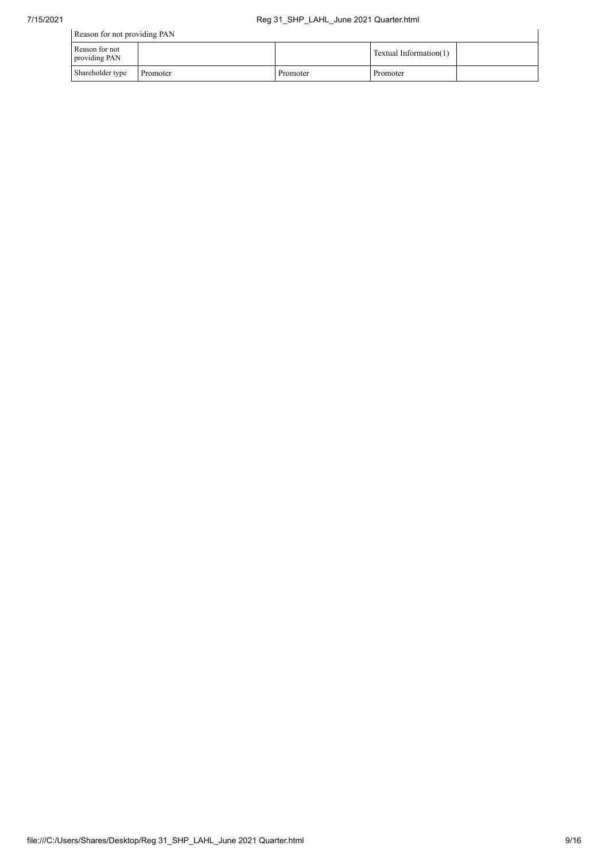| Reason for not providing PAN    |          |          |                        |  |  |  |  |  |  |
|---------------------------------|----------|----------|------------------------|--|--|--|--|--|--|
| Reason for not<br>providing PAN |          |          | Textual Information(1) |  |  |  |  |  |  |
| Shareholder type                | Promoter | Promoter | Promoter               |  |  |  |  |  |  |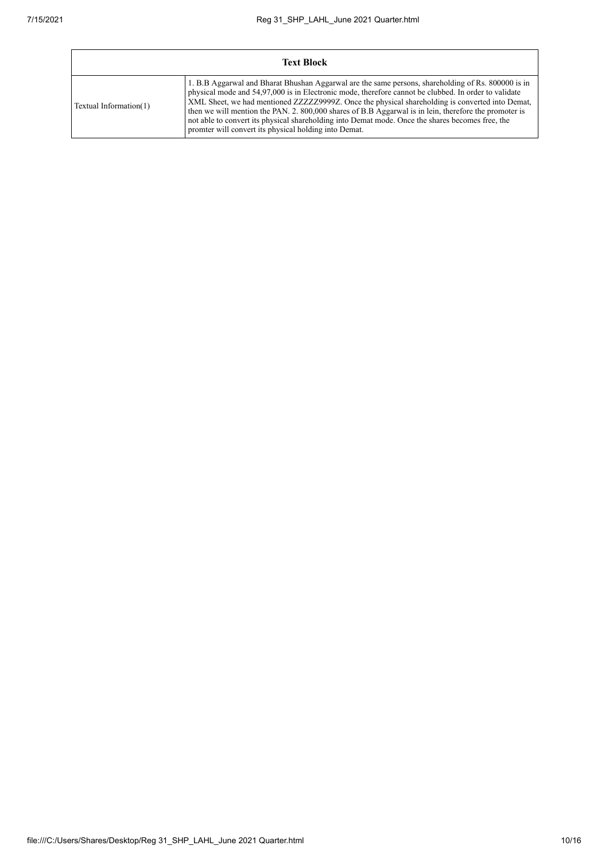| <b>Text Block</b>      |                                                                                                                                                                                                                                                                                                                                                                                                                                                                                                                                                                                      |  |  |  |  |  |  |  |
|------------------------|--------------------------------------------------------------------------------------------------------------------------------------------------------------------------------------------------------------------------------------------------------------------------------------------------------------------------------------------------------------------------------------------------------------------------------------------------------------------------------------------------------------------------------------------------------------------------------------|--|--|--|--|--|--|--|
| Textual Information(1) | 1. B.B Aggarwal and Bharat Bhushan Aggarwal are the same persons, shareholding of Rs. 800000 is in<br>physical mode and 54.97,000 is in Electronic mode, therefore cannot be clubbed. In order to validate<br>XML Sheet, we had mentioned ZZZZZ29999Z. Once the physical shareholding is converted into Demat,<br>then we will mention the PAN, 2, 800,000 shares of B.B Aggarwal is in lein, therefore the promoter is<br>not able to convert its physical shareholding into Demat mode. Once the shares becomes free, the<br>promter will convert its physical holding into Demat. |  |  |  |  |  |  |  |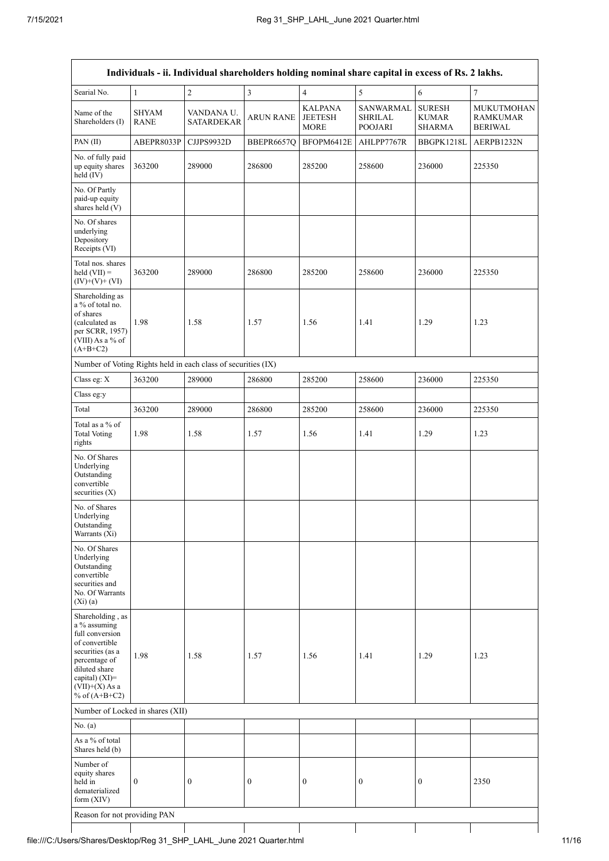| Individuals - ii. Individual shareholders holding nominal share capital in excess of Rs. 2 lakhs.                                                                                    |                             |                                                               |                  |                                                 |                                               |                                                |                                                        |  |  |  |  |
|--------------------------------------------------------------------------------------------------------------------------------------------------------------------------------------|-----------------------------|---------------------------------------------------------------|------------------|-------------------------------------------------|-----------------------------------------------|------------------------------------------------|--------------------------------------------------------|--|--|--|--|
| Searial No.                                                                                                                                                                          | $\mathbf{1}$                | $\sqrt{2}$                                                    | $\mathfrak z$    | $\overline{4}$                                  | 5                                             | 6                                              | $\tau$                                                 |  |  |  |  |
| Name of the<br>Shareholders (I)                                                                                                                                                      | <b>SHYAM</b><br><b>RANE</b> | VANDANA U.<br><b>SATARDEKAR</b>                               | <b>ARUN RANE</b> | <b>KALPANA</b><br><b>JEETESH</b><br><b>MORE</b> | SANWARMAL<br><b>SHRILAL</b><br><b>POOJARI</b> | <b>SURESH</b><br><b>KUMAR</b><br><b>SHARMA</b> | <b>MUKUTMOHAN</b><br><b>RAMKUMAR</b><br><b>BERIWAL</b> |  |  |  |  |
| PAN(II)                                                                                                                                                                              | ABEPR8033P                  | CJJPS9932D                                                    | BBEPR6657Q       | BFOPM6412E                                      | AHLPP7767R                                    | BBGPK1218L                                     | AERPB1232N                                             |  |  |  |  |
| No. of fully paid<br>up equity shares<br>held (IV)                                                                                                                                   | 363200                      | 289000                                                        | 286800           | 285200                                          | 258600                                        | 236000                                         | 225350                                                 |  |  |  |  |
| No. Of Partly<br>paid-up equity<br>shares held (V)                                                                                                                                   |                             |                                                               |                  |                                                 |                                               |                                                |                                                        |  |  |  |  |
| No. Of shares<br>underlying<br>Depository<br>Receipts (VI)                                                                                                                           |                             |                                                               |                  |                                                 |                                               |                                                |                                                        |  |  |  |  |
| Total nos. shares<br>held $(VII) =$<br>$(IV)+(V)+(VI)$                                                                                                                               | 363200                      | 289000                                                        | 286800           | 285200                                          | 258600                                        | 236000                                         | 225350                                                 |  |  |  |  |
| Shareholding as<br>a % of total no.<br>of shares<br>(calculated as<br>per SCRR, 1957)<br>(VIII) As a % of<br>$(A+B+C2)$                                                              | 1.98                        | 1.58                                                          | 1.57             | 1.56                                            | 1.41                                          | 1.29                                           | 1.23                                                   |  |  |  |  |
|                                                                                                                                                                                      |                             | Number of Voting Rights held in each class of securities (IX) |                  |                                                 |                                               |                                                |                                                        |  |  |  |  |
| Class eg: X                                                                                                                                                                          | 363200                      | 289000                                                        | 286800           | 285200                                          | 258600                                        | 236000                                         | 225350                                                 |  |  |  |  |
| Class eg:y                                                                                                                                                                           |                             |                                                               |                  |                                                 |                                               |                                                |                                                        |  |  |  |  |
| Total                                                                                                                                                                                | 363200                      | 289000                                                        | 286800           | 285200                                          | 258600                                        | 236000                                         | 225350                                                 |  |  |  |  |
| Total as a % of<br><b>Total Voting</b><br>rights                                                                                                                                     | 1.98                        | 1.58                                                          | 1.57             | 1.56                                            | 1.41                                          | 1.29                                           | 1.23                                                   |  |  |  |  |
| No. Of Shares<br>Underlying<br>Outstanding<br>convertible<br>securities $(X)$                                                                                                        |                             |                                                               |                  |                                                 |                                               |                                                |                                                        |  |  |  |  |
| No. of Shares<br>Underlying<br>Outstanding<br>Warrants (Xi)                                                                                                                          |                             |                                                               |                  |                                                 |                                               |                                                |                                                        |  |  |  |  |
| No. Of Shares<br>Underlying<br>Outstanding<br>convertible<br>securities and<br>No. Of Warrants<br>$(X_i)(a)$                                                                         |                             |                                                               |                  |                                                 |                                               |                                                |                                                        |  |  |  |  |
| Shareholding, as<br>a % assuming<br>full conversion<br>of convertible<br>securities (as a<br>percentage of<br>diluted share<br>capital) (XI)=<br>$(VII)+(X)$ As a<br>% of $(A+B+C2)$ | 1.98                        | 1.58                                                          | 1.57             | 1.56                                            | 1.41                                          | 1.29                                           | 1.23                                                   |  |  |  |  |
| Number of Locked in shares (XII)                                                                                                                                                     |                             |                                                               |                  |                                                 |                                               |                                                |                                                        |  |  |  |  |
| No. $(a)$                                                                                                                                                                            |                             |                                                               |                  |                                                 |                                               |                                                |                                                        |  |  |  |  |
| As a % of total<br>Shares held (b)                                                                                                                                                   |                             |                                                               |                  |                                                 |                                               |                                                |                                                        |  |  |  |  |
| Number of<br>equity shares<br>held in<br>dematerialized<br>form $(XIV)$                                                                                                              | $\boldsymbol{0}$            | $\boldsymbol{0}$                                              | $\mathbf{0}$     | $\boldsymbol{0}$                                | $\boldsymbol{0}$                              | $\boldsymbol{0}$                               | 2350                                                   |  |  |  |  |
| Reason for not providing PAN                                                                                                                                                         |                             |                                                               |                  |                                                 |                                               |                                                |                                                        |  |  |  |  |

 $\mathsf{l}$ 

file:///C:/Users/Shares/Desktop/Reg 31\_SHP\_LAHL\_June 2021 Quarter.html 11/16

 $\overline{\phantom{a}}$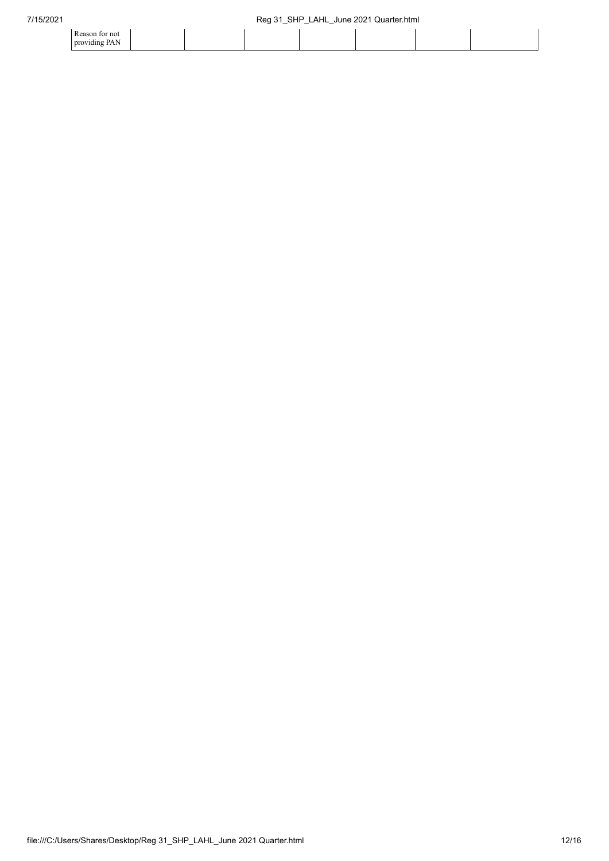| Reason for not            |  |  |  |  |
|---------------------------|--|--|--|--|
| providing PAN<br>$\cdots$ |  |  |  |  |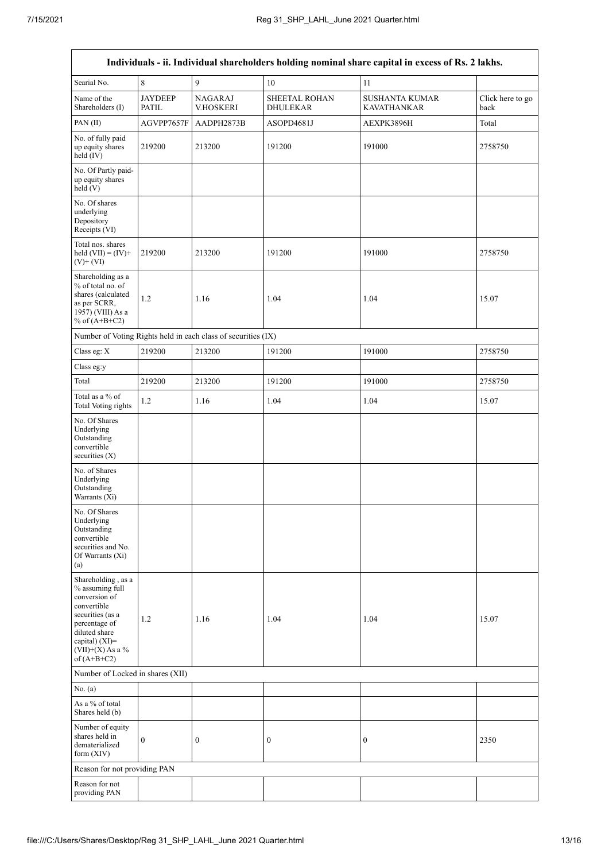$\mathsf{r}$ 

|                                                                                                                                                                                      |                                |                                                               |                                         | Individuals - ii. Individual shareholders holding nominal share capital in excess of Rs. 2 lakhs. |                          |
|--------------------------------------------------------------------------------------------------------------------------------------------------------------------------------------|--------------------------------|---------------------------------------------------------------|-----------------------------------------|---------------------------------------------------------------------------------------------------|--------------------------|
| Searial No.                                                                                                                                                                          | 8                              | 9                                                             | 10                                      | 11                                                                                                |                          |
| Name of the<br>Shareholders (I)                                                                                                                                                      | <b>JAYDEEP</b><br><b>PATIL</b> | <b>NAGARAJ</b><br><b>V.HOSKERI</b>                            | <b>SHEETAL ROHAN</b><br><b>DHULEKAR</b> | <b>SUSHANTA KUMAR</b><br><b>KAVATHANKAR</b>                                                       | Click here to go<br>back |
| PAN(II)                                                                                                                                                                              | AGVPP7657F                     | AADPH2873B                                                    | ASOPD4681J                              | AEXPK3896H                                                                                        | Total                    |
| No. of fully paid<br>up equity shares<br>held (IV)                                                                                                                                   | 219200                         | 213200                                                        | 191200                                  | 191000                                                                                            | 2758750                  |
| No. Of Partly paid-<br>up equity shares<br>held (V)                                                                                                                                  |                                |                                                               |                                         |                                                                                                   |                          |
| No. Of shares<br>underlying<br>Depository<br>Receipts (VI)                                                                                                                           |                                |                                                               |                                         |                                                                                                   |                          |
| Total nos. shares<br>held $(VII) = (IV) +$<br>$(V)$ + $(VI)$                                                                                                                         | 219200                         | 213200                                                        | 191200                                  | 191000                                                                                            | 2758750                  |
| Shareholding as a<br>% of total no. of<br>shares (calculated<br>as per SCRR,<br>1957) (VIII) As a<br>% of $(A+B+C2)$                                                                 | 1.2                            | 1.16                                                          | 1.04                                    | 1.04                                                                                              | 15.07                    |
|                                                                                                                                                                                      |                                | Number of Voting Rights held in each class of securities (IX) |                                         |                                                                                                   |                          |
| Class eg: X                                                                                                                                                                          | 219200                         | 213200                                                        | 191200                                  | 191000                                                                                            | 2758750                  |
| Class eg:y                                                                                                                                                                           |                                |                                                               |                                         |                                                                                                   |                          |
| Total                                                                                                                                                                                | 219200                         | 213200                                                        | 191200                                  | 191000                                                                                            | 2758750                  |
| Total as a % of<br><b>Total Voting rights</b>                                                                                                                                        | $1.2$                          | 1.16                                                          | 1.04                                    | 1.04                                                                                              | 15.07                    |
| No. Of Shares<br>Underlying<br>Outstanding<br>convertible<br>securities $(X)$                                                                                                        |                                |                                                               |                                         |                                                                                                   |                          |
| No. of Shares<br>Underlying<br>Outstanding<br>Warrants (Xi)                                                                                                                          |                                |                                                               |                                         |                                                                                                   |                          |
| No. Of Shares<br>Underlying<br>Outstanding<br>convertible<br>securities and No.<br>Of Warrants (Xi)<br>(a)                                                                           |                                |                                                               |                                         |                                                                                                   |                          |
| Shareholding, as a<br>% assuming full<br>conversion of<br>convertible<br>securities (as a<br>percentage of<br>diluted share<br>capital) (XI)=<br>$(VII)+(X)$ As a %<br>of $(A+B+C2)$ | 1.2                            | 1.16                                                          | 1.04                                    | 1.04                                                                                              | 15.07                    |
| Number of Locked in shares (XII)                                                                                                                                                     |                                |                                                               |                                         |                                                                                                   |                          |
| No. $(a)$                                                                                                                                                                            |                                |                                                               |                                         |                                                                                                   |                          |
| As a % of total<br>Shares held (b)                                                                                                                                                   |                                |                                                               |                                         |                                                                                                   |                          |
| Number of equity<br>shares held in<br>dematerialized<br>form (XIV)                                                                                                                   | $\boldsymbol{0}$               | $\boldsymbol{0}$                                              | $\boldsymbol{0}$                        | $\boldsymbol{0}$                                                                                  | 2350                     |
| Reason for not providing PAN                                                                                                                                                         |                                |                                                               |                                         |                                                                                                   |                          |
| Reason for not<br>providing PAN                                                                                                                                                      |                                |                                                               |                                         |                                                                                                   |                          |

٦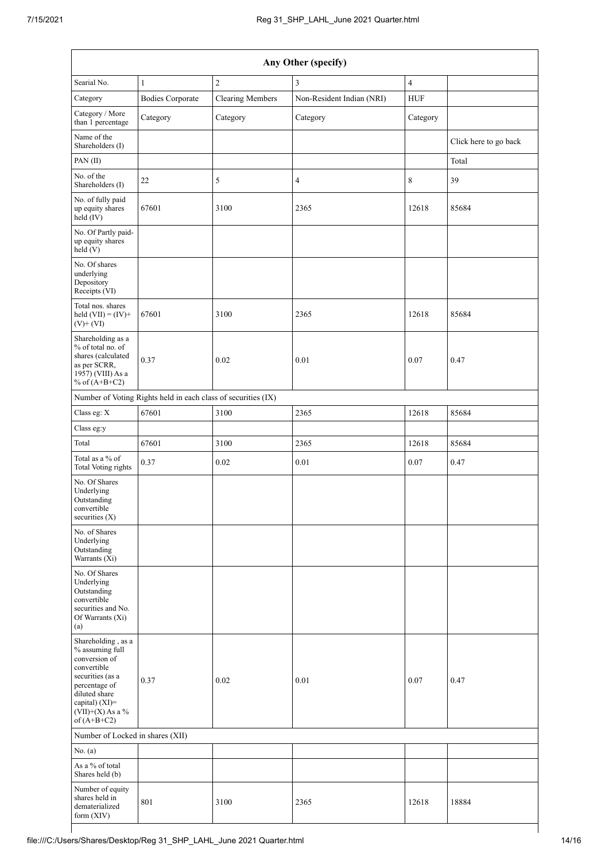| Any Other (specify)                                                                                                                                                                  |                                                               |                         |                           |                |                       |  |
|--------------------------------------------------------------------------------------------------------------------------------------------------------------------------------------|---------------------------------------------------------------|-------------------------|---------------------------|----------------|-----------------------|--|
| Searial No.                                                                                                                                                                          | $\mathbf{1}$                                                  | $\overline{c}$          | $\overline{3}$            | $\overline{4}$ |                       |  |
| Category                                                                                                                                                                             | <b>Bodies Corporate</b>                                       | <b>Clearing Members</b> | Non-Resident Indian (NRI) | <b>HUF</b>     |                       |  |
| Category / More<br>than 1 percentage                                                                                                                                                 | Category                                                      | Category                | Category                  | Category       |                       |  |
| Name of the<br>Shareholders (I)                                                                                                                                                      |                                                               |                         |                           |                | Click here to go back |  |
| PAN(II)                                                                                                                                                                              |                                                               |                         |                           |                | Total                 |  |
| No. of the<br>Shareholders (I)                                                                                                                                                       | 22                                                            | 5                       | $\overline{4}$            | 8              | 39                    |  |
| No. of fully paid<br>up equity shares<br>held (IV)                                                                                                                                   | 67601                                                         | 3100                    | 2365                      | 12618          | 85684                 |  |
| No. Of Partly paid-<br>up equity shares<br>$\text{held}(V)$                                                                                                                          |                                                               |                         |                           |                |                       |  |
| No. Of shares<br>underlying<br>Depository<br>Receipts (VI)                                                                                                                           |                                                               |                         |                           |                |                       |  |
| Total nos. shares<br>held $(VII) = (IV) +$<br>$(V)$ + $(VI)$                                                                                                                         | 67601                                                         | 3100                    | 2365                      | 12618          | 85684                 |  |
| Shareholding as a<br>% of total no. of<br>shares (calculated<br>as per SCRR,<br>1957) (VIII) As a<br>% of $(A+B+C2)$                                                                 | 0.37                                                          | 0.02                    | 0.01                      | 0.07           | 0.47                  |  |
|                                                                                                                                                                                      | Number of Voting Rights held in each class of securities (IX) |                         |                           |                |                       |  |
| Class eg: X                                                                                                                                                                          | 67601                                                         | 3100                    | 2365                      | 12618          | 85684                 |  |
| Class eg:y                                                                                                                                                                           |                                                               |                         |                           |                |                       |  |
| Total                                                                                                                                                                                | 67601                                                         | 3100                    | 2365                      | 12618          | 85684                 |  |
| Total as a % of<br><b>Total Voting rights</b>                                                                                                                                        | 0.37                                                          | 0.02                    | 0.01                      | $0.07\,$       | 0.47                  |  |
| No. Of Shares<br>Underlying<br>Outstanding<br>convertible<br>securities $(X)$                                                                                                        |                                                               |                         |                           |                |                       |  |
| No. of Shares<br>Underlying<br>Outstanding<br>Warrants (Xi)                                                                                                                          |                                                               |                         |                           |                |                       |  |
| No. Of Shares<br>Underlying<br>Outstanding<br>convertible<br>securities and No.<br>Of Warrants (Xi)<br>(a)                                                                           |                                                               |                         |                           |                |                       |  |
| Shareholding, as a<br>% assuming full<br>conversion of<br>convertible<br>securities (as a<br>percentage of<br>diluted share<br>capital) (XI)=<br>$(VII)+(X)$ As a %<br>of $(A+B+C2)$ | 0.37                                                          | 0.02                    | 0.01                      | 0.07           | 0.47                  |  |
| Number of Locked in shares (XII)                                                                                                                                                     |                                                               |                         |                           |                |                       |  |
| No. (a)                                                                                                                                                                              |                                                               |                         |                           |                |                       |  |
| As a % of total<br>Shares held (b)                                                                                                                                                   |                                                               |                         |                           |                |                       |  |
| Number of equity<br>shares held in<br>dematerialized<br>form (XIV)                                                                                                                   | 801                                                           | 3100                    | 2365                      | 12618          | 18884                 |  |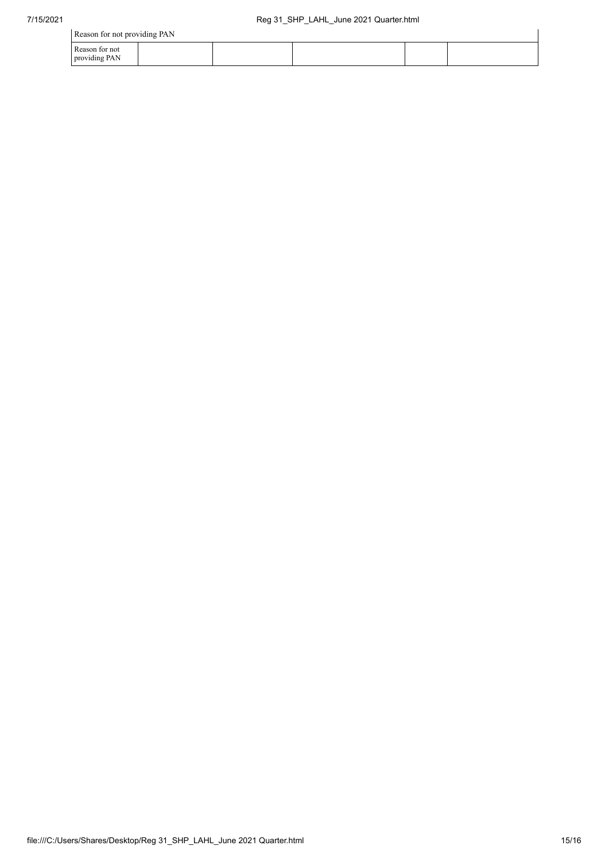| Reason for not providing PAN    |  |  |  |
|---------------------------------|--|--|--|
| Reason for not<br>providing PAN |  |  |  |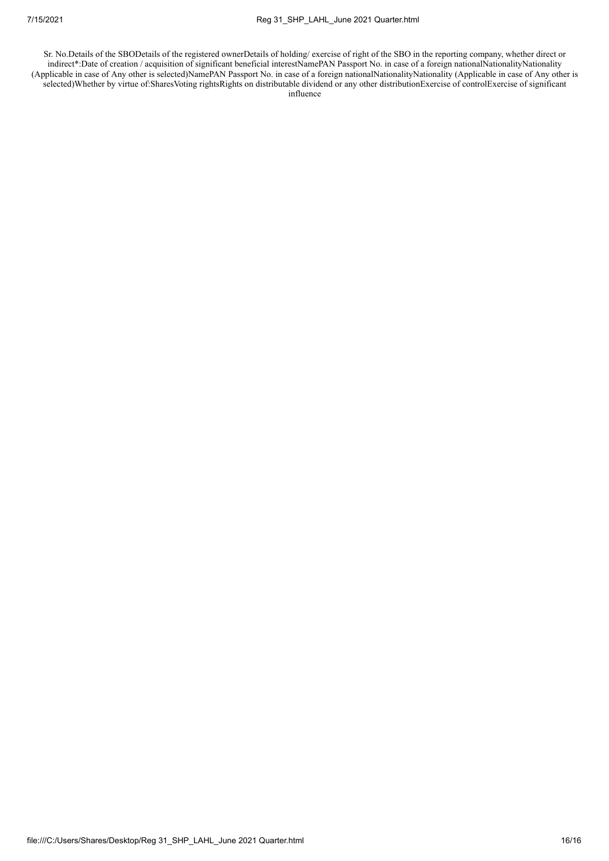Sr. No.Details of the SBODetails of the registered ownerDetails of holding/ exercise of right of the SBO in the reporting company, whether direct or indirect\*:Date of creation / acquisition of significant beneficial interestNamePAN Passport No. in case of a foreign nationalNationalityNationality (Applicable in case of Any other is selected)NamePAN Passport No. in case of a foreign nationalNationalityNationality (Applicable in case of Any other is selected)Whether by virtue of:SharesVoting rightsRights on distributable dividend or any other distributionExercise of controlExercise of significant influence